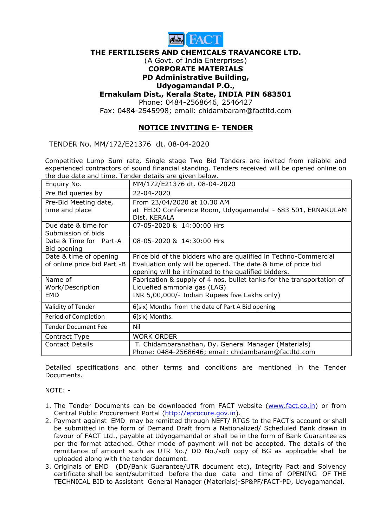

### THE FERTILISERS AND CHEMICALS TRAVANCORE LTD.

### (A Govt. of India Enterprises) CORPORATE MATERIALS PD Administrative Building,

# Udyogamandal P.O.,

## Ernakulam Dist., Kerala State, INDIA PIN 683501

Phone: 0484-2568646, 2546427

Fax: 0484-2545998; email: chidambaram@factltd.com

## NOTICE INVITING E- TENDER

TENDER No. MM/172/E21376 dt. 08-04-2020

Competitive Lump Sum rate, Single stage Two Bid Tenders are invited from reliable and experienced contractors of sound financial standing. Tenders received will be opened online on the due date and time. Tender details are given below.

| Enquiry No.                               | MM/172/E21376 dt. 08-04-2020                                               |
|-------------------------------------------|----------------------------------------------------------------------------|
| Pre Bid queries by                        | 22-04-2020                                                                 |
| Pre-Bid Meeting date,                     | From 23/04/2020 at 10.30 AM                                                |
| time and place                            | at FEDO Conference Room, Udyogamandal - 683 501, ERNAKULAM<br>Dist. KERALA |
| Due date & time for<br>Submission of bids | 07-05-2020 & 14:00:00 Hrs                                                  |
| Date & Time for Part-A<br>Bid opening     | 08-05-2020 & 14:30:00 Hrs                                                  |
| Date & time of opening                    | Price bid of the bidders who are qualified in Techno-Commercial            |
| of online price bid Part -B               | Evaluation only will be opened. The date & time of price bid               |
|                                           | opening will be intimated to the qualified bidders.                        |
| Name of                                   | Fabrication & supply of 4 nos. bullet tanks for the transportation of      |
| Work/Description                          | Liquefied ammonia gas (LAG)                                                |
| <b>EMD</b>                                | INR 5,00,000/- Indian Rupees five Lakhs only)                              |
| Validity of Tender                        | 6(six) Months from the date of Part A Bid opening                          |
| Period of Completion                      | 6(six) Months.                                                             |
| <b>Tender Document Fee</b>                | Nil                                                                        |
| Contract Type                             | <b>WORK ORDER</b>                                                          |
| <b>Contact Details</b>                    | T. Chidambaranathan, Dy. General Manager (Materials)                       |
|                                           | Phone: 0484-2568646; email: chidambaram@factltd.com                        |

Detailed specifications and other terms and conditions are mentioned in the Tender **Documents** 

NOTE: -

- 1. The Tender Documents can be downloaded from FACT website (www.fact.co.in) or from Central Public Procurement Portal (http://eprocure.gov.in).
- 2. Payment against EMD may be remitted through NEFT/ RTGS to the FACT's account or shall be submitted in the form of Demand Draft from a Nationalized/ Scheduled Bank drawn in favour of FACT Ltd., payable at Udyogamandal or shall be in the form of Bank Guarantee as per the format attached. Other mode of payment will not be accepted. The details of the remittance of amount such as UTR No./ DD No./soft copy of BG as applicable shall be uploaded along with the tender document.
- 3. Originals of EMD (DD/Bank Guarantee/UTR document etc), Integrity Pact and Solvency certificate shall be sent/submitted before the due date and time of OPENING OF THE TECHNICAL BID to Assistant General Manager (Materials)-SP&PF/FACT-PD, Udyogamandal.